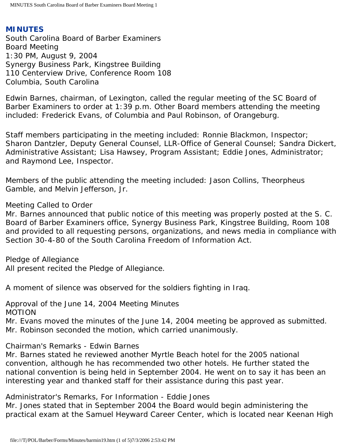### **MINUTES**

South Carolina Board of Barber Examiners Board Meeting 1:30 PM, August 9, 2004 Synergy Business Park, Kingstree Building 110 Centerview Drive, Conference Room 108 Columbia, South Carolina

Edwin Barnes, chairman, of Lexington, called the regular meeting of the SC Board of Barber Examiners to order at 1:39 p.m. Other Board members attending the meeting included: Frederick Evans, of Columbia and Paul Robinson, of Orangeburg.

Staff members participating in the meeting included: Ronnie Blackmon, Inspector; Sharon Dantzler, Deputy General Counsel, LLR-Office of General Counsel; Sandra Dickert, Administrative Assistant; Lisa Hawsey, Program Assistant; Eddie Jones, Administrator; and Raymond Lee, Inspector.

Members of the public attending the meeting included: Jason Collins, Theorpheus Gamble, and Melvin Jefferson, Jr.

### Meeting Called to Order

Mr. Barnes announced that public notice of this meeting was properly posted at the S. C. Board of Barber Examiners office, Synergy Business Park, Kingstree Building, Room 108 and provided to all requesting persons, organizations, and news media in compliance with Section 30-4-80 of the South Carolina Freedom of Information Act.

Pledge of Allegiance All present recited the Pledge of Allegiance.

A moment of silence was observed for the soldiers fighting in Iraq.

Approval of the June 14, 2004 Meeting Minutes MOTION

Mr. Evans moved the minutes of the June 14, 2004 meeting be approved as submitted. Mr. Robinson seconded the motion, which carried unanimously.

Chairman's Remarks - Edwin Barnes

Mr. Barnes stated he reviewed another Myrtle Beach hotel for the 2005 national convention, although he has recommended two other hotels. He further stated the national convention is being held in September 2004. He went on to say it has been an interesting year and thanked staff for their assistance during this past year.

Administrator's Remarks, For Information - Eddie Jones

Mr. Jones stated that in September 2004 the Board would begin administering the practical exam at the Samuel Heyward Career Center, which is located near Keenan High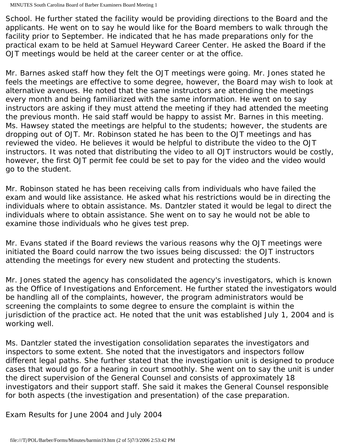School. He further stated the facility would be providing directions to the Board and the applicants. He went on to say he would like for the Board members to walk through the facility prior to September. He indicated that he has made preparations only for the practical exam to be held at Samuel Heyward Career Center. He asked the Board if the OJT meetings would be held at the career center or at the office.

Mr. Barnes asked staff how they felt the OJT meetings were going. Mr. Jones stated he feels the meetings are effective to some degree, however, the Board may wish to look at alternative avenues. He noted that the same instructors are attending the meetings every month and being familiarized with the same information. He went on to say instructors are asking if they must attend the meeting if they had attended the meeting the previous month. He said staff would be happy to assist Mr. Barnes in this meeting. Ms. Hawsey stated the meetings are helpful to the students; however, the students are dropping out of OJT. Mr. Robinson stated he has been to the OJT meetings and has reviewed the video. He believes it would be helpful to distribute the video to the OJT instructors. It was noted that distributing the video to all OJT instructors would be costly, however, the first OJT permit fee could be set to pay for the video and the video would go to the student.

Mr. Robinson stated he has been receiving calls from individuals who have failed the exam and would like assistance. He asked what his restrictions would be in directing the individuals where to obtain assistance. Ms. Dantzler stated it would be legal to direct the individuals where to obtain assistance. She went on to say he would not be able to examine those individuals who he gives test prep.

Mr. Evans stated if the Board reviews the various reasons why the OJT meetings were initiated the Board could narrow the two issues being discussed: the OJT instructors attending the meetings for every new student and protecting the students.

Mr. Jones stated the agency has consolidated the agency's investigators, which is known as the Office of Investigations and Enforcement. He further stated the investigators would be handling all of the complaints, however, the program administrators would be screening the complaints to some degree to ensure the complaint is within the jurisdiction of the practice act. He noted that the unit was established July 1, 2004 and is working well.

Ms. Dantzler stated the investigation consolidation separates the investigators and inspectors to some extent. She noted that the investigators and inspectors follow different legal paths. She further stated that the investigation unit is designed to produce cases that would go for a hearing in court smoothly. She went on to say the unit is under the direct supervision of the General Counsel and consists of approximately 18 investigators and their support staff. She said it makes the General Counsel responsible for both aspects (the investigation and presentation) of the case preparation.

Exam Results for June 2004 and July 2004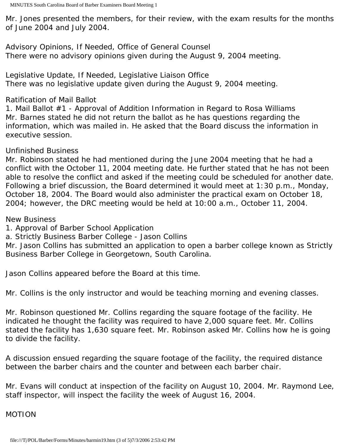Mr. Jones presented the members, for their review, with the exam results for the months of June 2004 and July 2004.

Advisory Opinions, If Needed, Office of General Counsel There were no advisory opinions given during the August 9, 2004 meeting.

Legislative Update, If Needed, Legislative Liaison Office There was no legislative update given during the August 9, 2004 meeting.

## Ratification of Mail Ballot

1. Mail Ballot #1 - Approval of Addition Information in Regard to Rosa Williams Mr. Barnes stated he did not return the ballot as he has questions regarding the information, which was mailed in. He asked that the Board discuss the information in executive session.

## Unfinished Business

Mr. Robinson stated he had mentioned during the June 2004 meeting that he had a conflict with the October 11, 2004 meeting date. He further stated that he has not been able to resolve the conflict and asked if the meeting could be scheduled for another date. Following a brief discussion, the Board determined it would meet at 1:30 p.m., Monday, October 18, 2004. The Board would also administer the practical exam on October 18, 2004; however, the DRC meeting would be held at 10:00 a.m., October 11, 2004.

New Business

1. Approval of Barber School Application

a. Strictly Business Barber College - Jason Collins

Mr. Jason Collins has submitted an application to open a barber college known as Strictly Business Barber College in Georgetown, South Carolina.

Jason Collins appeared before the Board at this time.

Mr. Collins is the only instructor and would be teaching morning and evening classes.

Mr. Robinson questioned Mr. Collins regarding the square footage of the facility. He indicated he thought the facility was required to have 2,000 square feet. Mr. Collins stated the facility has 1,630 square feet. Mr. Robinson asked Mr. Collins how he is going to divide the facility.

A discussion ensued regarding the square footage of the facility, the required distance between the barber chairs and the counter and between each barber chair.

Mr. Evans will conduct at inspection of the facility on August 10, 2004. Mr. Raymond Lee, staff inspector, will inspect the facility the week of August 16, 2004.

# MOTION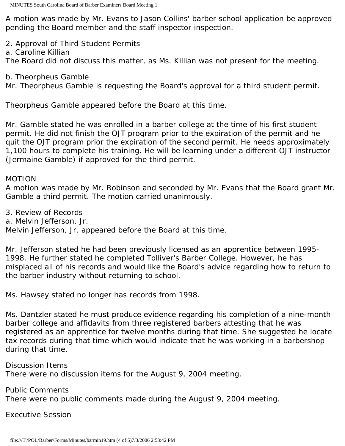A motion was made by Mr. Evans to Jason Collins' barber school application be approved pending the Board member and the staff inspector inspection.

2. Approval of Third Student Permits

a. Caroline Killian

The Board did not discuss this matter, as Ms. Killian was not present for the meeting.

b. Theorpheus Gamble

Mr. Theorpheus Gamble is requesting the Board's approval for a third student permit.

Theorpheus Gamble appeared before the Board at this time.

Mr. Gamble stated he was enrolled in a barber college at the time of his first student permit. He did not finish the OJT program prior to the expiration of the permit and he quit the OJT program prior the expiration of the second permit. He needs approximately 1,100 hours to complete his training. He will be learning under a different OJT instructor (Jermaine Gamble) if approved for the third permit.

#### MOTION

A motion was made by Mr. Robinson and seconded by Mr. Evans that the Board grant Mr. Gamble a third permit. The motion carried unanimously.

- 3. Review of Records
- a. Melvin Jefferson, Jr.

Melvin Jefferson, Jr. appeared before the Board at this time.

Mr. Jefferson stated he had been previously licensed as an apprentice between 1995- 1998. He further stated he completed Tolliver's Barber College. However, he has misplaced all of his records and would like the Board's advice regarding how to return to the barber industry without returning to school.

Ms. Hawsey stated no longer has records from 1998.

Ms. Dantzler stated he must produce evidence regarding his completion of a nine-month barber college and affidavits from three registered barbers attesting that he was registered as an apprentice for twelve months during that time. She suggested he locate tax records during that time which would indicate that he was working in a barbershop during that time.

Discussion Items There were no discussion items for the August 9, 2004 meeting.

Public Comments

There were no public comments made during the August 9, 2004 meeting.

Executive Session